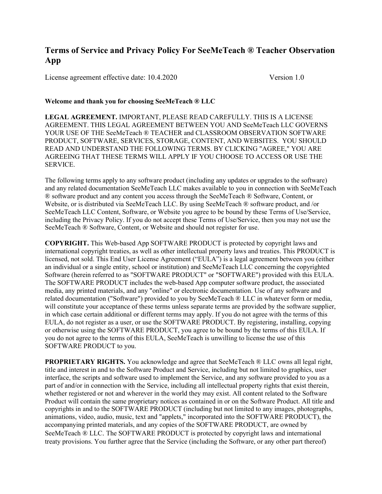# Terms of Service and Privacy Policy For SeeMeTeach ® Teacher Observation App

License agreement effective date: 10.4.2020 Version 1.0

### Welcome and thank you for choosing SeeMeTeach ® LLC

LEGAL AGREEMENT. IMPORTANT, PLEASE READ CAREFULLY. THIS IS A LICENSE AGREEMENT. THIS LEGAL AGREEMENT BETWEEN YOU AND SeeMeTeach LLC GOVERNS YOUR USE OF THE SeeMeTeach ® TEACHER and CLASSROOM OBSERVATION SOFTWARE PRODUCT, SOFTWARE, SERVICES, STORAGE, CONTENT, AND WEBSITES. YOU SHOULD READ AND UNDERSTAND THE FOLLOWING TERMS. BY CLICKING "AGREE," YOU ARE AGREEING THAT THESE TERMS WILL APPLY IF YOU CHOOSE TO ACCESS OR USE THE SERVICE.

The following terms apply to any software product (including any updates or upgrades to the software) and any related documentation SeeMeTeach LLC makes available to you in connection with SeeMeTeach ® software product and any content you access through the SeeMeTeach ® Software, Content, or Website, or is distributed via SeeMeTeach LLC. By using SeeMeTeach ® software product, and /or SeeMeTeach LLC Content, Software, or Website you agree to be bound by these Terms of Use/Service, including the Privacy Policy. If you do not accept these Terms of Use/Service, then you may not use the SeeMeTeach ® Software, Content, or Website and should not register for use.

COPYRIGHT. This Web-based App SOFTWARE PRODUCT is protected by copyright laws and international copyright treaties, as well as other intellectual property laws and treaties. This PRODUCT is licensed, not sold. This End User License Agreement ("EULA") is a legal agreement between you (either an individual or a single entity, school or institution) and SeeMeTeach LLC concerning the copyrighted Software (herein referred to as "SOFTWARE PRODUCT" or "SOFTWARE") provided with this EULA. The SOFTWARE PRODUCT includes the web-based App computer software product, the associated media, any printed materials, and any "online" or electronic documentation. Use of any software and related documentation ("Software") provided to you by SeeMeTeach ® LLC in whatever form or media, will constitute your acceptance of these terms unless separate terms are provided by the software supplier, in which case certain additional or different terms may apply. If you do not agree with the terms of this EULA, do not register as a user, or use the SOFTWARE PRODUCT. By registering, installing, copying or otherwise using the SOFTWARE PRODUCT, you agree to be bound by the terms of this EULA. If you do not agree to the terms of this EULA, SeeMeTeach is unwilling to license the use of this SOFTWARE PRODUCT to you.

PROPRIETARY RIGHTS. You acknowledge and agree that SeeMeTeach ® LLC owns all legal right, title and interest in and to the Software Product and Service, including but not limited to graphics, user interface, the scripts and software used to implement the Service, and any software provided to you as a part of and/or in connection with the Service, including all intellectual property rights that exist therein, whether registered or not and wherever in the world they may exist. All content related to the Software Product will contain the same proprietary notices as contained in or on the Software Product. All title and copyrights in and to the SOFTWARE PRODUCT (including but not limited to any images, photographs, animations, video, audio, music, text and "applets," incorporated into the SOFTWARE PRODUCT), the accompanying printed materials, and any copies of the SOFTWARE PRODUCT, are owned by SeeMeTeach ® LLC. The SOFTWARE PRODUCT is protected by copyright laws and international treaty provisions. You further agree that the Service (including the Software, or any other part thereof)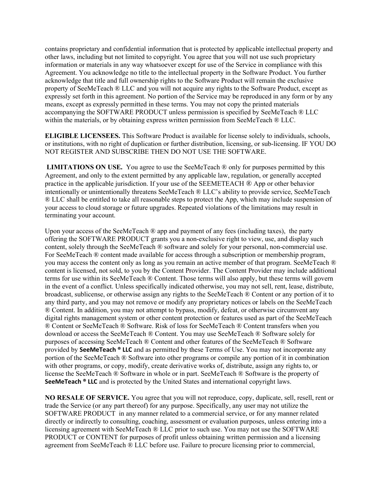contains proprietary and confidential information that is protected by applicable intellectual property and other laws, including but not limited to copyright. You agree that you will not use such proprietary information or materials in any way whatsoever except for use of the Service in compliance with this Agreement. You acknowledge no title to the intellectual property in the Software Product. You further acknowledge that title and full ownership rights to the Software Product will remain the exclusive property of SeeMeTeach ® LLC and you will not acquire any rights to the Software Product, except as expressly set forth in this agreement. No portion of the Service may be reproduced in any form or by any means, except as expressly permitted in these terms. You may not copy the printed materials accompanying the SOFTWARE PRODUCT unless permission is specified by SeeMeTeach ® LLC within the materials, or by obtaining express written permission from SeeMeTeach ® LLC.

ELIGIBLE LICENSEES. This Software Product is available for license solely to individuals, schools, or institutions, with no right of duplication or further distribution, licensing, or sub-licensing. IF YOU DO NOT REGISTER AND SUBSCRIBE THEN DO NOT USE THE SOFTWARE.

**LIMITATIONS ON USE.** You agree to use the SeeMeTeach  $\mathcal{R}$  only for purposes permitted by this Agreement, and only to the extent permitted by any applicable law, regulation, or generally accepted practice in the applicable jurisdiction. If your use of the SEEMETEACH ® App or other behavior intentionally or unintentionally threatens SeeMeTeach ® LLC's ability to provide service, SeeMeTeach ® LLC shall be entitled to take all reasonable steps to protect the App, which may include suspension of your access to cloud storage or future upgrades. Repeated violations of the limitations may result in terminating your account.

Upon your access of the SeeMeTeach ® app and payment of any fees (including taxes), the party offering the SOFTWARE PRODUCT grants you a non-exclusive right to view, use, and display such content, solely through the SeeMeTeach ® software and solely for your personal, non-commercial use. For SeeMeTeach ® content made available for access through a subscription or membership program, you may access the content only as long as you remain an active member of that program. SeeMeTeach ® content is licensed, not sold, to you by the Content Provider. The Content Provider may include additional terms for use within its SeeMeTeach ® Content. Those terms will also apply, but these terms will govern in the event of a conflict. Unless specifically indicated otherwise, you may not sell, rent, lease, distribute, broadcast, sublicense, or otherwise assign any rights to the SeeMeTeach ® Content or any portion of it to any third party, and you may not remove or modify any proprietary notices or labels on the SeeMeTeach ® Content. In addition, you may not attempt to bypass, modify, defeat, or otherwise circumvent any digital rights management system or other content protection or features used as part of the SeeMeTeach ® Content or SeeMeTeach ® Software. Risk of loss for SeeMeTeach ® Content transfers when you download or access the SeeMeTeach ® Content. You may use SeeMeTeach ® Software solely for purposes of accessing SeeMeTeach ® Content and other features of the SeeMeTeach ® Software provided by SeeMeTeach ® LLC and as permitted by these Terms of Use. You may not incorporate any portion of the SeeMeTeach ® Software into other programs or compile any portion of it in combination with other programs, or copy, modify, create derivative works of, distribute, assign any rights to, or license the SeeMeTeach ® Software in whole or in part. SeeMeTeach ® Software is the property of SeeMeTeach ® LLC and is protected by the United States and international copyright laws.

NO RESALE OF SERVICE. You agree that you will not reproduce, copy, duplicate, sell, resell, rent or trade the Service (or any part thereof) for any purpose. Specifically, any user may not utilize the SOFTWARE PRODUCT in any manner related to a commercial service, or for any manner related directly or indirectly to consulting, coaching, assessment or evaluation purposes, unless entering into a licensing agreement with SeeMeTeach ® LLC prior to such use. You may not use the SOFTWARE PRODUCT or CONTENT for purposes of profit unless obtaining written permission and a licensing agreement from SeeMeTeach ® LLC before use. Failure to procure licensing prior to commercial,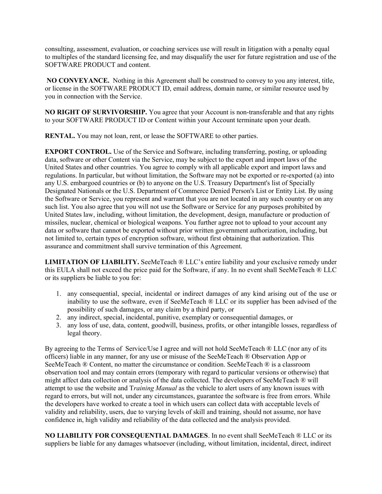consulting, assessment, evaluation, or coaching services use will result in litigation with a penalty equal to multiples of the standard licensing fee, and may disqualify the user for future registration and use of the SOFTWARE PRODUCT and content.

NO CONVEYANCE. Nothing in this Agreement shall be construed to convey to you any interest, title, or license in the SOFTWARE PRODUCT ID, email address, domain name, or similar resource used by you in connection with the Service.

NO RIGHT OF SURVIVORSHIP. You agree that your Account is non-transferable and that any rights to your SOFTWARE PRODUCT ID or Content within your Account terminate upon your death.

RENTAL. You may not loan, rent, or lease the SOFTWARE to other parties.

EXPORT CONTROL. Use of the Service and Software, including transferring, posting, or uploading data, software or other Content via the Service, may be subject to the export and import laws of the United States and other countries. You agree to comply with all applicable export and import laws and regulations. In particular, but without limitation, the Software may not be exported or re-exported (a) into any U.S. embargoed countries or (b) to anyone on the U.S. Treasury Department's list of Specially Designated Nationals or the U.S. Department of Commerce Denied Person's List or Entity List. By using the Software or Service, you represent and warrant that you are not located in any such country or on any such list. You also agree that you will not use the Software or Service for any purposes prohibited by United States law, including, without limitation, the development, design, manufacture or production of missiles, nuclear, chemical or biological weapons. You further agree not to upload to your account any data or software that cannot be exported without prior written government authorization, including, but not limited to, certain types of encryption software, without first obtaining that authorization. This assurance and commitment shall survive termination of this Agreement.

LIMITATION OF LIABILITY. SeeMeTeach ® LLC's entire liability and your exclusive remedy under this EULA shall not exceed the price paid for the Software, if any. In no event shall SeeMeTeach ® LLC or its suppliers be liable to you for:

- 1. any consequential, special, incidental or indirect damages of any kind arising out of the use or inability to use the software, even if SeeMeTeach ® LLC or its supplier has been advised of the possibility of such damages, or any claim by a third party, or
- 2. any indirect, special, incidental, punitive, exemplary or consequential damages, or
- 3. any loss of use, data, content, goodwill, business, profits, or other intangible losses, regardless of legal theory.

By agreeing to the Terms of Service/Use I agree and will not hold SeeMeTeach ® LLC (nor any of its officers) liable in any manner, for any use or misuse of the SeeMeTeach ® Observation App or SeeMeTeach ® Content, no matter the circumstance or condition. SeeMeTeach ® is a classroom observation tool and may contain errors (temporary with regard to particular versions or otherwise) that might affect data collection or analysis of the data collected. The developers of SeeMeTeach ® will attempt to use the website and Training Manual as the vehicle to alert users of any known issues with regard to errors, but will not, under any circumstances, guarantee the software is free from errors. While the developers have worked to create a tool in which users can collect data with acceptable levels of validity and reliability, users, due to varying levels of skill and training, should not assume, nor have confidence in, high validity and reliability of the data collected and the analysis provided.

NO LIABILITY FOR CONSEQUENTIAL DAMAGES. In no event shall SeeMeTeach ® LLC or its suppliers be liable for any damages whatsoever (including, without limitation, incidental, direct, indirect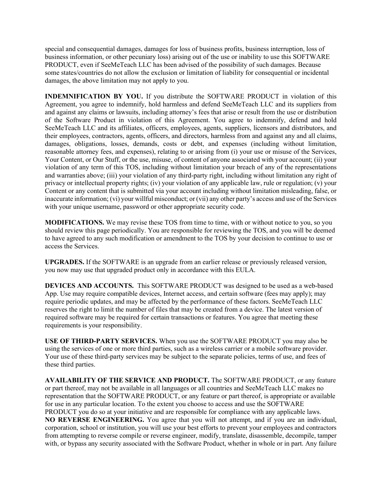special and consequential damages, damages for loss of business profits, business interruption, loss of business information, or other pecuniary loss) arising out of the use or inability to use this SOFTWARE PRODUCT, even if SeeMeTeach LLC has been advised of the possibility of such damages. Because some states/countries do not allow the exclusion or limitation of liability for consequential or incidental damages, the above limitation may not apply to you.

INDEMNIFICATION BY YOU. If you distribute the SOFTWARE PRODUCT in violation of this Agreement, you agree to indemnify, hold harmless and defend SeeMeTeach LLC and its suppliers from and against any claims or lawsuits, including attorney's fees that arise or result from the use or distribution of the Software Product in violation of this Agreement. You agree to indemnify, defend and hold SeeMeTeach LLC and its affiliates, officers, employees, agents, suppliers, licensors and distributors, and their employees, contractors, agents, officers, and directors, harmless from and against any and all claims, damages, obligations, losses, demands, costs or debt, and expenses (including without limitation, reasonable attorney fees, and expenses), relating to or arising from (i) your use or misuse of the Services, Your Content, or Our Stuff, or the use, misuse, of content of anyone associated with your account; (ii) your violation of any term of this TOS, including without limitation your breach of any of the representations and warranties above; (iii) your violation of any third-party right, including without limitation any right of privacy or intellectual property rights; (iv) your violation of any applicable law, rule or regulation; (v) your Content or any content that is submitted via your account including without limitation misleading, false, or inaccurate information; (vi) your willful misconduct; or (vii) any other party's access and use of the Services with your unique username, password or other appropriate security code.

MODIFICATIONS. We may revise these TOS from time to time, with or without notice to you, so you should review this page periodically. You are responsible for reviewing the TOS, and you will be deemed to have agreed to any such modification or amendment to the TOS by your decision to continue to use or access the Services.

UPGRADES. If the SOFTWARE is an upgrade from an earlier release or previously released version, you now may use that upgraded product only in accordance with this EULA.

DEVICES AND ACCOUNTS. This SOFTWARE PRODUCT was designed to be used as a web-based App. Use may require compatible devices, Internet access, and certain software (fees may apply); may require periodic updates, and may be affected by the performance of these factors. SeeMeTeach LLC reserves the right to limit the number of files that may be created from a device. The latest version of required software may be required for certain transactions or features. You agree that meeting these requirements is your responsibility.

USE OF THIRD-PARTY SERVICES. When you use the SOFTWARE PRODUCT you may also be using the services of one or more third parties, such as a wireless carrier or a mobile software provider. Your use of these third-party services may be subject to the separate policies, terms of use, and fees of these third parties.

AVAILABILITY OF THE SERVICE AND PRODUCT. The SOFTWARE PRODUCT, or any feature or part thereof, may not be available in all languages or all countries and SeeMeTeach LLC makes no representation that the SOFTWARE PRODUCT, or any feature or part thereof, is appropriate or available for use in any particular location. To the extent you choose to access and use the SOFTWARE PRODUCT you do so at your initiative and are responsible for compliance with any applicable laws. NO REVERSE ENGINEERING. You agree that you will not attempt, and if you are an individual, corporation, school or institution, you will use your best efforts to prevent your employees and contractors from attempting to reverse compile or reverse engineer, modify, translate, disassemble, decompile, tamper with, or bypass any security associated with the Software Product, whether in whole or in part. Any failure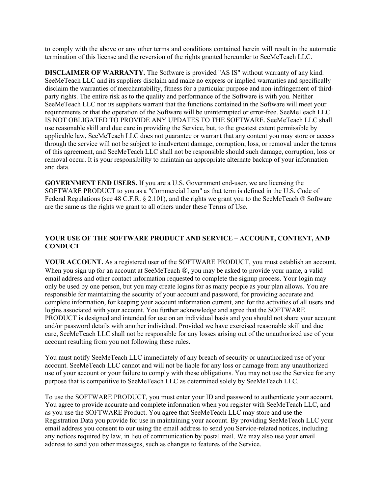to comply with the above or any other terms and conditions contained herein will result in the automatic termination of this license and the reversion of the rights granted hereunder to SeeMeTeach LLC.

DISCLAIMER OF WARRANTY. The Software is provided "AS IS" without warranty of any kind. SeeMeTeach LLC and its suppliers disclaim and make no express or implied warranties and specifically disclaim the warranties of merchantability, fitness for a particular purpose and non-infringement of thirdparty rights. The entire risk as to the quality and performance of the Software is with you. Neither SeeMeTeach LLC nor its suppliers warrant that the functions contained in the Software will meet your requirements or that the operation of the Software will be uninterrupted or error-free. SeeMeTeach LLC IS NOT OBLIGATED TO PROVIDE ANY UPDATES TO THE SOFTWARE. SeeMeTeach LLC shall use reasonable skill and due care in providing the Service, but, to the greatest extent permissible by applicable law, SeeMeTeach LLC does not guarantee or warrant that any content you may store or access through the service will not be subject to inadvertent damage, corruption, loss, or removal under the terms of this agreement, and SeeMeTeach LLC shall not be responsible should such damage, corruption, loss or removal occur. It is your responsibility to maintain an appropriate alternate backup of your information and data.

GOVERNMENT END USERS. If you are a U.S. Government end-user, we are licensing the SOFTWARE PRODUCT to you as a "Commercial Item" as that term is defined in the U.S. Code of Federal Regulations (see 48 C.F.R. § 2.101), and the rights we grant you to the SeeMeTeach ® Software are the same as the rights we grant to all others under these Terms of Use.

## YOUR USE OF THE SOFTWARE PRODUCT AND SERVICE – ACCOUNT, CONTENT, AND **CONDUCT**

YOUR ACCOUNT. As a registered user of the SOFTWARE PRODUCT, you must establish an account. When you sign up for an account at SeeMeTeach ®, you may be asked to provide your name, a valid email address and other contact information requested to complete the signup process. Your login may only be used by one person, but you may create logins for as many people as your plan allows. You are responsible for maintaining the security of your account and password, for providing accurate and complete information, for keeping your account information current, and for the activities of all users and logins associated with your account. You further acknowledge and agree that the SOFTWARE PRODUCT is designed and intended for use on an individual basis and you should not share your account and/or password details with another individual. Provided we have exercised reasonable skill and due care, SeeMeTeach LLC shall not be responsible for any losses arising out of the unauthorized use of your account resulting from you not following these rules.

You must notify SeeMeTeach LLC immediately of any breach of security or unauthorized use of your account. SeeMeTeach LLC cannot and will not be liable for any loss or damage from any unauthorized use of your account or your failure to comply with these obligations. You may not use the Service for any purpose that is competitive to SeeMeTeach LLC as determined solely by SeeMeTeach LLC.

To use the SOFTWARE PRODUCT, you must enter your ID and password to authenticate your account. You agree to provide accurate and complete information when you register with SeeMeTeach LLC, and as you use the SOFTWARE Product. You agree that SeeMeTeach LLC may store and use the Registration Data you provide for use in maintaining your account. By providing SeeMeTeach LLC your email address you consent to our using the email address to send you Service-related notices, including any notices required by law, in lieu of communication by postal mail. We may also use your email address to send you other messages, such as changes to features of the Service.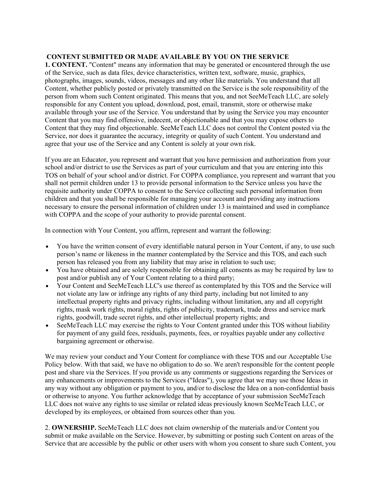### CONTENT SUBMITTED OR MADE AVAILABLE BY YOU ON THE SERVICE

1. CONTENT. "Content" means any information that may be generated or encountered through the use of the Service, such as data files, device characteristics, written text, software, music, graphics, photographs, images, sounds, videos, messages and any other like materials. You understand that all Content, whether publicly posted or privately transmitted on the Service is the sole responsibility of the person from whom such Content originated. This means that you, and not SeeMeTeach LLC, are solely responsible for any Content you upload, download, post, email, transmit, store or otherwise make available through your use of the Service. You understand that by using the Service you may encounter Content that you may find offensive, indecent, or objectionable and that you may expose others to Content that they may find objectionable. SeeMeTeach LLC does not control the Content posted via the Service, nor does it guarantee the accuracy, integrity or quality of such Content. You understand and agree that your use of the Service and any Content is solely at your own risk.

If you are an Educator, you represent and warrant that you have permission and authorization from your school and/or district to use the Services as part of your curriculum and that you are entering into this TOS on behalf of your school and/or district. For COPPA compliance, you represent and warrant that you shall not permit children under 13 to provide personal information to the Service unless you have the requisite authority under COPPA to consent to the Service collecting such personal information from children and that you shall be responsible for managing your account and providing any instructions necessary to ensure the personal information of children under 13 is maintained and used in compliance with COPPA and the scope of your authority to provide parental consent.

In connection with Your Content, you affirm, represent and warrant the following:

- You have the written consent of every identifiable natural person in Your Content, if any, to use such person's name or likeness in the manner contemplated by the Service and this TOS, and each such person has released you from any liability that may arise in relation to such use;
- You have obtained and are solely responsible for obtaining all consents as may be required by law to post and/or publish any of Your Content relating to a third party;
- Your Content and SeeMeTeach LLC's use thereof as contemplated by this TOS and the Service will not violate any law or infringe any rights of any third party, including but not limited to any intellectual property rights and privacy rights, including without limitation, any and all copyright rights, mask work rights, moral rights, rights of publicity, trademark, trade dress and service mark rights, goodwill, trade secret rights, and other intellectual property rights; and
- SeeMeTeach LLC may exercise the rights to Your Content granted under this TOS without liability for payment of any guild fees, residuals, payments, fees, or royalties payable under any collective bargaining agreement or otherwise.

We may review your conduct and Your Content for compliance with these TOS and our Acceptable Use Policy below. With that said, we have no obligation to do so. We aren't responsible for the content people post and share via the Services. If you provide us any comments or suggestions regarding the Services or any enhancements or improvements to the Services ("Ideas"), you agree that we may use those Ideas in any way without any obligation or payment to you, and/or to disclose the Idea on a non-confidential basis or otherwise to anyone. You further acknowledge that by acceptance of your submission SeeMeTeach LLC does not waive any rights to use similar or related ideas previously known SeeMeTeach LLC, or developed by its employees, or obtained from sources other than you.

2. OWNERSHIP. SeeMeTeach LLC does not claim ownership of the materials and/or Content you submit or make available on the Service. However, by submitting or posting such Content on areas of the Service that are accessible by the public or other users with whom you consent to share such Content, you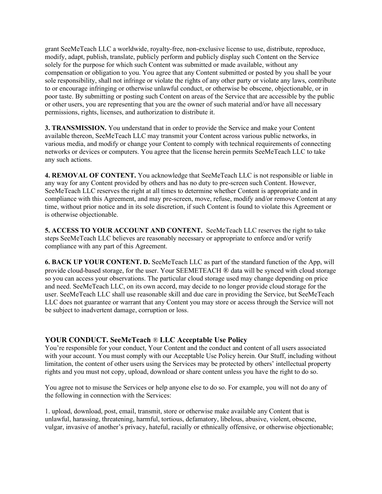grant SeeMeTeach LLC a worldwide, royalty-free, non-exclusive license to use, distribute, reproduce, modify, adapt, publish, translate, publicly perform and publicly display such Content on the Service solely for the purpose for which such Content was submitted or made available, without any compensation or obligation to you. You agree that any Content submitted or posted by you shall be your sole responsibility, shall not infringe or violate the rights of any other party or violate any laws, contribute to or encourage infringing or otherwise unlawful conduct, or otherwise be obscene, objectionable, or in poor taste. By submitting or posting such Content on areas of the Service that are accessible by the public or other users, you are representing that you are the owner of such material and/or have all necessary permissions, rights, licenses, and authorization to distribute it.

3. TRANSMISSION. You understand that in order to provide the Service and make your Content available thereon, SeeMeTeach LLC may transmit your Content across various public networks, in various media, and modify or change your Content to comply with technical requirements of connecting networks or devices or computers. You agree that the license herein permits SeeMeTeach LLC to take any such actions.

4. REMOVAL OF CONTENT. You acknowledge that SeeMeTeach LLC is not responsible or liable in any way for any Content provided by others and has no duty to pre-screen such Content. However, SeeMeTeach LLC reserves the right at all times to determine whether Content is appropriate and in compliance with this Agreement, and may pre-screen, move, refuse, modify and/or remove Content at any time, without prior notice and in its sole discretion, if such Content is found to violate this Agreement or is otherwise objectionable.

5. ACCESS TO YOUR ACCOUNT AND CONTENT. SeeMeTeach LLC reserves the right to take steps SeeMeTeach LLC believes are reasonably necessary or appropriate to enforce and/or verify compliance with any part of this Agreement.

6. BACK UP YOUR CONTENT. D. SeeMeTeach LLC as part of the standard function of the App, will provide cloud-based storage, for the user. Your SEEMETEACH ® data will be synced with cloud storage so you can access your observations. The particular cloud storage used may change depending on price and need. SeeMeTeach LLC, on its own accord, may decide to no longer provide cloud storage for the user. SeeMeTeach LLC shall use reasonable skill and due care in providing the Service, but SeeMeTeach LLC does not guarantee or warrant that any Content you may store or access through the Service will not be subject to inadvertent damage, corruption or loss.

## YOUR CONDUCT. SeeMeTeach ® LLC Acceptable Use Policy

You're responsible for your conduct, Your Content and the conduct and content of all users associated with your account. You must comply with our Acceptable Use Policy herein. Our Stuff, including without limitation, the content of other users using the Services may be protected by others' intellectual property rights and you must not copy, upload, download or share content unless you have the right to do so.

You agree not to misuse the Services or help anyone else to do so. For example, you will not do any of the following in connection with the Services:

1. upload, download, post, email, transmit, store or otherwise make available any Content that is unlawful, harassing, threatening, harmful, tortious, defamatory, libelous, abusive, violent, obscene, vulgar, invasive of another's privacy, hateful, racially or ethnically offensive, or otherwise objectionable;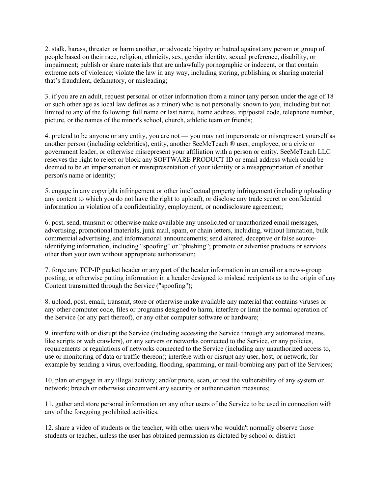2. stalk, harass, threaten or harm another, or advocate bigotry or hatred against any person or group of people based on their race, religion, ethnicity, sex, gender identity, sexual preference, disability, or impairment; publish or share materials that are unlawfully pornographic or indecent, or that contain extreme acts of violence; violate the law in any way, including storing, publishing or sharing material that's fraudulent, defamatory, or misleading;

3. if you are an adult, request personal or other information from a minor (any person under the age of 18 or such other age as local law defines as a minor) who is not personally known to you, including but not limited to any of the following: full name or last name, home address, zip/postal code, telephone number, picture, or the names of the minor's school, church, athletic team or friends;

4. pretend to be anyone or any entity, you are not — you may not impersonate or misrepresent yourself as another person (including celebrities), entity, another SeeMeTeach ® user, employee, or a civic or government leader, or otherwise misrepresent your affiliation with a person or entity. SeeMeTeach LLC reserves the right to reject or block any SOFTWARE PRODUCT ID or email address which could be deemed to be an impersonation or misrepresentation of your identity or a misappropriation of another person's name or identity;

5. engage in any copyright infringement or other intellectual property infringement (including uploading any content to which you do not have the right to upload), or disclose any trade secret or confidential information in violation of a confidentiality, employment, or nondisclosure agreement;

6. post, send, transmit or otherwise make available any unsolicited or unauthorized email messages, advertising, promotional materials, junk mail, spam, or chain letters, including, without limitation, bulk commercial advertising, and informational announcements; send altered, deceptive or false sourceidentifying information, including "spoofing" or "phishing"; promote or advertise products or services other than your own without appropriate authorization;

7. forge any TCP-IP packet header or any part of the header information in an email or a news-group posting, or otherwise putting information in a header designed to mislead recipients as to the origin of any Content transmitted through the Service ("spoofing");

8. upload, post, email, transmit, store or otherwise make available any material that contains viruses or any other computer code, files or programs designed to harm, interfere or limit the normal operation of the Service (or any part thereof), or any other computer software or hardware;

9. interfere with or disrupt the Service (including accessing the Service through any automated means, like scripts or web crawlers), or any servers or networks connected to the Service, or any policies, requirements or regulations of networks connected to the Service (including any unauthorized access to, use or monitoring of data or traffic thereon); interfere with or disrupt any user, host, or network, for example by sending a virus, overloading, flooding, spamming, or mail-bombing any part of the Services;

10. plan or engage in any illegal activity; and/or probe, scan, or test the vulnerability of any system or network; breach or otherwise circumvent any security or authentication measures;

11. gather and store personal information on any other users of the Service to be used in connection with any of the foregoing prohibited activities.

12. share a video of students or the teacher, with other users who wouldn't normally observe those students or teacher, unless the user has obtained permission as dictated by school or district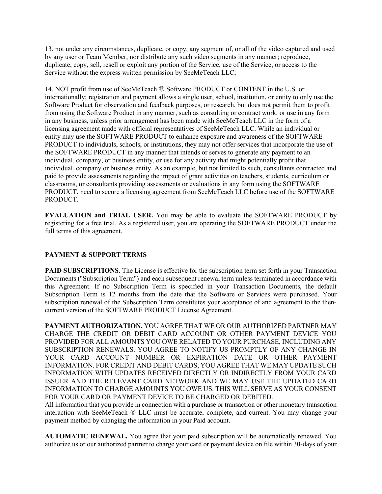13. not under any circumstances, duplicate, or copy, any segment of, or all of the video captured and used by any user or Team Member, nor distribute any such video segments in any manner; reproduce, duplicate, copy, sell, resell or exploit any portion of the Service, use of the Service, or access to the Service without the express written permission by SeeMeTeach LLC;

14. NOT profit from use of SeeMeTeach ® Software PRODUCT or CONTENT in the U.S. or internationally; registration and payment allows a single user, school, institution, or entity to only use the Software Product for observation and feedback purposes, or research, but does not permit them to profit from using the Software Product in any manner, such as consulting or contract work, or use in any form in any business, unless prior arrangement has been made with SeeMeTeach LLC in the form of a licensing agreement made with official representatives of SeeMeTeach LLC. While an individual or entity may use the SOFTWARE PRODUCT to enhance exposure and awareness of the SOFTWARE PRODUCT to individuals, schools, or institutions, they may not offer services that incorporate the use of the SOFTWARE PRODUCT in any manner that intends or serves to generate any payment to an individual, company, or business entity, or use for any activity that might potentially profit that individual, company or business entity. As an example, but not limited to such, consultants contracted and paid to provide assessments regarding the impact of grant activities on teachers, students, curriculum or classrooms, or consultants providing assessments or evaluations in any form using the SOFTWARE PRODUCT, need to secure a licensing agreement from SeeMeTeach LLC before use of the SOFTWARE PRODUCT.

EVALUATION and TRIAL USER. You may be able to evaluate the SOFTWARE PRODUCT by registering for a free trial. As a registered user, you are operating the SOFTWARE PRODUCT under the full terms of this agreement.

## PAYMENT & SUPPORT TERMS

PAID SUBSCRIPTIONS. The License is effective for the subscription term set forth in your Transaction Documents ("Subscription Term") and each subsequent renewal term unless terminated in accordance with this Agreement. If no Subscription Term is specified in your Transaction Documents, the default Subscription Term is 12 months from the date that the Software or Services were purchased. Your subscription renewal of the Subscription Term constitutes your acceptance of and agreement to the thencurrent version of the SOFTWARE PRODUCT License Agreement.

PAYMENT AUTHORIZATION. YOU AGREE THAT WE OR OUR AUTHORIZED PARTNER MAY CHARGE THE CREDIT OR DEBIT CARD ACCOUNT OR OTHER PAYMENT DEVICE YOU PROVIDED FOR ALL AMOUNTS YOU OWE RELATED TO YOUR PURCHASE, INCLUDING ANY SUBSCRIPTION RENEWALS. YOU AGREE TO NOTIFY US PROMPTLY OF ANY CHANGE IN YOUR CARD ACCOUNT NUMBER OR EXPIRATION DATE OR OTHER PAYMENT INFORMATION. FOR CREDIT AND DEBIT CARDS, YOU AGREE THAT WE MAY UPDATE SUCH INFORMATION WITH UPDATES RECEIVED DIRECTLY OR INDIRECTLY FROM YOUR CARD ISSUER AND THE RELEVANT CARD NETWORK AND WE MAY USE THE UPDATED CARD INFORMATION TO CHARGE AMOUNTS YOU OWE US. THIS WILL SERVE AS YOUR CONSENT FOR YOUR CARD OR PAYMENT DEVICE TO BE CHARGED OR DEBITED.

All information that you provide in connection with a purchase or transaction or other monetary transaction interaction with SeeMeTeach ® LLC must be accurate, complete, and current. You may change your payment method by changing the information in your Paid account.

AUTOMATIC RENEWAL. You agree that your paid subscription will be automatically renewed. You authorize us or our authorized partner to charge your card or payment device on file within 30-days of your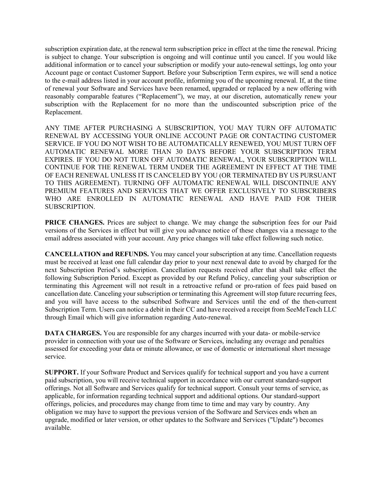subscription expiration date, at the renewal term subscription price in effect at the time the renewal. Pricing is subject to change. Your subscription is ongoing and will continue until you cancel. If you would like additional information or to cancel your subscription or modify your auto-renewal settings, log onto your Account page or contact Customer Support. Before your Subscription Term expires, we will send a notice to the e-mail address listed in your account profile, informing you of the upcoming renewal. If, at the time of renewal your Software and Services have been renamed, upgraded or replaced by a new offering with reasonably comparable features ("Replacement"), we may, at our discretion, automatically renew your subscription with the Replacement for no more than the undiscounted subscription price of the Replacement.

ANY TIME AFTER PURCHASING A SUBSCRIPTION, YOU MAY TURN OFF AUTOMATIC RENEWAL BY ACCESSING YOUR ONLINE ACCOUNT PAGE OR CONTACTING CUSTOMER SERVICE. IF YOU DO NOT WISH TO BE AUTOMATICALLY RENEWED, YOU MUST TURN OFF AUTOMATIC RENEWAL MORE THAN 30 DAYS BEFORE YOUR SUBSCRIPTION TERM EXPIRES. IF YOU DO NOT TURN OFF AUTOMATIC RENEWAL, YOUR SUBSCRIPTION WILL CONTINUE FOR THE RENEWAL TERM UNDER THE AGREEMENT IN EFFECT AT THE TIME OF EACH RENEWAL UNLESS IT IS CANCELED BY YOU (OR TERMINATED BY US PURSUANT TO THIS AGREEMENT). TURNING OFF AUTOMATIC RENEWAL WILL DISCONTINUE ANY PREMIUM FEATURES AND SERVICES THAT WE OFFER EXCLUSIVELY TO SUBSCRIBERS WHO ARE ENROLLED IN AUTOMATIC RENEWAL AND HAVE PAID FOR THEIR SUBSCRIPTION.

PRICE CHANGES. Prices are subject to change. We may change the subscription fees for our Paid versions of the Services in effect but will give you advance notice of these changes via a message to the email address associated with your account. Any price changes will take effect following such notice.

CANCELLATION and REFUNDS. You may cancel your subscription at any time. Cancellation requests must be received at least one full calendar day prior to your next renewal date to avoid by charged for the next Subscription Period's subscription. Cancellation requests received after that shall take effect the following Subscription Period. Except as provided by our Refund Policy, canceling your subscription or terminating this Agreement will not result in a retroactive refund or pro-ration of fees paid based on cancellation date. Canceling your subscription or terminating this Agreement will stop future recurring fees, and you will have access to the subscribed Software and Services until the end of the then-current Subscription Term. Users can notice a debit in their CC and have received a receipt from SeeMeTeach LLC through Email which will give information regarding Auto-renewal.

DATA CHARGES. You are responsible for any charges incurred with your data- or mobile-service provider in connection with your use of the Software or Services, including any overage and penalties assessed for exceeding your data or minute allowance, or use of domestic or international short message service.

SUPPORT. If your Software Product and Services qualify for technical support and you have a current paid subscription, you will receive technical support in accordance with our current standard-support offerings. Not all Software and Services qualify for technical support. Consult your terms of service, as applicable, for information regarding technical support and additional options. Our standard-support offerings, policies, and procedures may change from time to time and may vary by country. Any obligation we may have to support the previous version of the Software and Services ends when an upgrade, modified or later version, or other updates to the Software and Services ("Update") becomes available.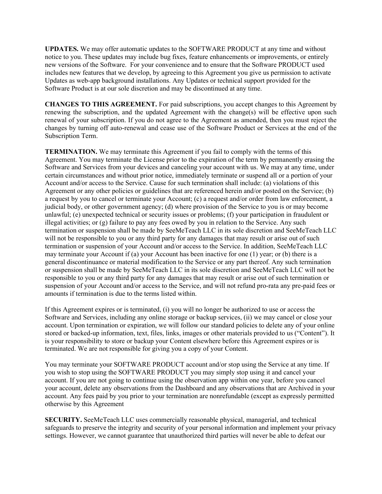UPDATES. We may offer automatic updates to the SOFTWARE PRODUCT at any time and without notice to you. These updates may include bug fixes, feature enhancements or improvements, or entirely new versions of the Software. For your convenience and to ensure that the Software PRODUCT used includes new features that we develop, by agreeing to this Agreement you give us permission to activate Updates as web-app background installations. Any Updates or technical support provided for the Software Product is at our sole discretion and may be discontinued at any time.

CHANGES TO THIS AGREEMENT. For paid subscriptions, you accept changes to this Agreement by renewing the subscription, and the updated Agreement with the change(s) will be effective upon such renewal of your subscription. If you do not agree to the Agreement as amended, then you must reject the changes by turning off auto-renewal and cease use of the Software Product or Services at the end of the Subscription Term.

TERMINATION. We may terminate this Agreement if you fail to comply with the terms of this Agreement. You may terminate the License prior to the expiration of the term by permanently erasing the Software and Services from your devices and canceling your account with us. We may at any time, under certain circumstances and without prior notice, immediately terminate or suspend all or a portion of your Account and/or access to the Service. Cause for such termination shall include: (a) violations of this Agreement or any other policies or guidelines that are referenced herein and/or posted on the Service; (b) a request by you to cancel or terminate your Account; (c) a request and/or order from law enforcement, a judicial body, or other government agency; (d) where provision of the Service to you is or may become unlawful; (e) unexpected technical or security issues or problems; (f) your participation in fraudulent or illegal activities; or (g) failure to pay any fees owed by you in relation to the Service. Any such termination or suspension shall be made by SeeMeTeach LLC in its sole discretion and SeeMeTeach LLC will not be responsible to you or any third party for any damages that may result or arise out of such termination or suspension of your Account and/or access to the Service. In addition, SeeMeTeach LLC may terminate your Account if (a) your Account has been inactive for one (1) year; or (b) there is a general discontinuance or material modification to the Service or any part thereof. Any such termination or suspension shall be made by SeeMeTeach LLC in its sole discretion and SeeMeTeach LLC will not be responsible to you or any third party for any damages that may result or arise out of such termination or suspension of your Account and/or access to the Service, and will not refund pro-rata any pre-paid fees or amounts if termination is due to the terms listed within.

If this Agreement expires or is terminated, (i) you will no longer be authorized to use or access the Software and Services, including any online storage or backup services, (ii) we may cancel or close your account. Upon termination or expiration, we will follow our standard policies to delete any of your online stored or backed-up information, text, files, links, images or other materials provided to us ("Content"). It is your responsibility to store or backup your Content elsewhere before this Agreement expires or is terminated. We are not responsible for giving you a copy of your Content.

You may terminate your SOFTWARE PRODUCT account and/or stop using the Service at any time. If you wish to stop using the SOFTWARE PRODUCT you may simply stop using it and cancel your account. If you are not going to continue using the observation app within one year, before you cancel your account, delete any observations from the Dashboard and any observations that are Archived in your account. Any fees paid by you prior to your termination are nonrefundable (except as expressly permitted otherwise by this Agreement

SECURITY. SeeMeTeach LLC uses commercially reasonable physical, managerial, and technical safeguards to preserve the integrity and security of your personal information and implement your privacy settings. However, we cannot guarantee that unauthorized third parties will never be able to defeat our